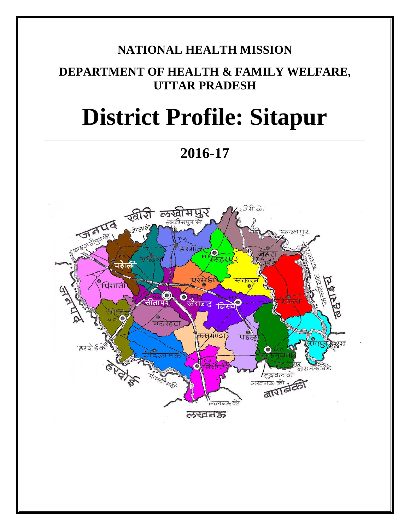# **NATIONAL HEALTH MISSION**

# **DEPARTMENT OF HEALTH & FAMILY WELFARE, UTTAR PRADESH**

# **District Profile: Sitapur**

**2016-17**

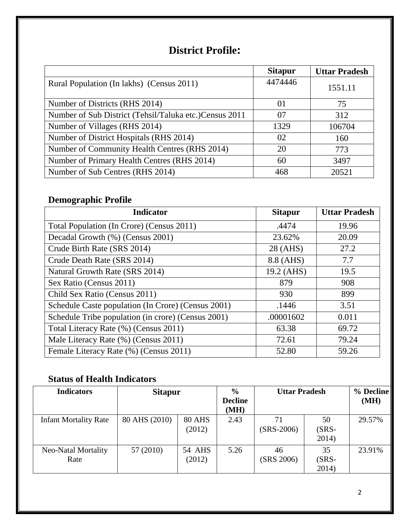# **District Profile:**

|                                                        | <b>Sitapur</b> | <b>Uttar Pradesh</b> |
|--------------------------------------------------------|----------------|----------------------|
| Rural Population (In lakhs) (Census 2011)              | 4474446        | 1551.11              |
| Number of Districts (RHS 2014)                         | 01             | 75                   |
| Number of Sub District (Tehsil/Taluka etc.)Census 2011 | 07             | 312                  |
| Number of Villages (RHS 2014)                          | 1329           | 106704               |
| Number of District Hospitals (RHS 2014)                | 02             | 160                  |
| Number of Community Health Centres (RHS 2014)          | 20             | 773                  |
| Number of Primary Health Centres (RHS 2014)            | 60             | 3497                 |
| Number of Sub Centres (RHS 2014)                       | 468            | 20521                |

# **Demographic Profile**

| <b>Indicator</b>                                   | <b>Sitapur</b> | <b>Uttar Pradesh</b> |
|----------------------------------------------------|----------------|----------------------|
| Total Population (In Crore) (Census 2011)          | .4474          | 19.96                |
| Decadal Growth (%) (Census 2001)                   | 23.62%         | 20.09                |
| Crude Birth Rate (SRS 2014)                        | 28 (AHS)       | 27.2                 |
| Crude Death Rate (SRS 2014)                        | 8.8 (AHS)      | 7.7                  |
| Natural Growth Rate (SRS 2014)                     | 19.2 (AHS)     | 19.5                 |
| Sex Ratio (Census 2011)                            | 879            | 908                  |
| Child Sex Ratio (Census 2011)                      | 930            | 899                  |
| Schedule Caste population (In Crore) (Census 2001) | .1446          | 3.51                 |
| Schedule Tribe population (in crore) (Census 2001) | .00001602      | 0.011                |
| Total Literacy Rate (%) (Census 2011)              | 63.38          | 69.72                |
| Male Literacy Rate (%) (Census 2011)               | 72.61          | 79.24                |
| Female Literacy Rate (%) (Census 2011)             | 52.80          | 59.26                |

### **Status of Health Indicators**

| <b>Indicators</b>            | <b>Sitapur</b> |                         | $\frac{6}{6}$<br><b>Decline</b><br>(MH) | <b>Uttar Pradesh</b> |                         | % Decline<br>(MH) |
|------------------------------|----------------|-------------------------|-----------------------------------------|----------------------|-------------------------|-------------------|
| <b>Infant Mortality Rate</b> | 80 AHS (2010)  | <b>80 AHS</b><br>(2012) | 2.43                                    | 71<br>$(SRS-2006)$   | 50<br>$(SRS -$<br>2014) | 29.57%            |
| Neo-Natal Mortality<br>Rate  | 57 (2010)      | <b>54 AHS</b><br>(2012) | 5.26                                    | 46<br>(SRS 2006)     | 35<br>$(SRS -$<br>2014) | 23.91%            |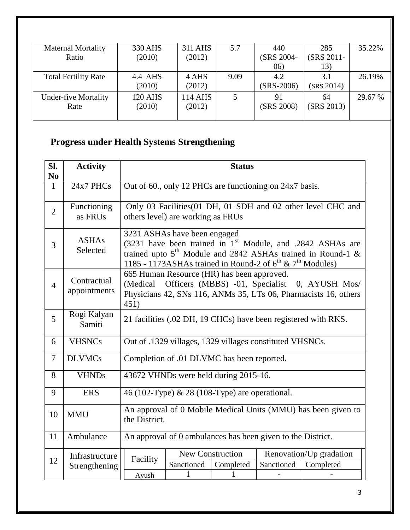| <b>Maternal Mortality</b>   | 330 AHS        | 311 AHS | 5.7  | 440          | 285        | 35.22%  |
|-----------------------------|----------------|---------|------|--------------|------------|---------|
| Ratio                       | (2010)         | (2012)  |      | (SRS 2004-   | (SRS 2011- |         |
|                             |                |         |      | (06)         | 13)        |         |
| <b>Total Fertility Rate</b> | 4.4 AHS        | 4 AHS   | 9.09 | 4.2          | 3.1        | 26.19%  |
|                             | (2010)         | (2012)  |      | $(SRS-2006)$ | (SRS 2014) |         |
| <b>Under-five Mortality</b> | <b>120 AHS</b> | 114 AHS | 5    | 91           | 64         | 29.67 % |
| Rate                        | (2010)         | (2012)  |      | (SRS 2008)   | (SRS 2013) |         |
|                             |                |         |      |              |            |         |

# **Progress under Health Systems Strengthening**

| SI.<br>N <sub>0</sub> | <b>Activity</b>             |                                                                                                                                                                                    |                                                                                                                                                                                                                                                | <b>Status</b>                                           |            |                                                              |
|-----------------------|-----------------------------|------------------------------------------------------------------------------------------------------------------------------------------------------------------------------------|------------------------------------------------------------------------------------------------------------------------------------------------------------------------------------------------------------------------------------------------|---------------------------------------------------------|------------|--------------------------------------------------------------|
| $\mathbf{1}$          | 24x7 PHCs                   |                                                                                                                                                                                    |                                                                                                                                                                                                                                                | Out of 60., only 12 PHCs are functioning on 24x7 basis. |            |                                                              |
| $\overline{2}$        | Functioning<br>as FRUs      |                                                                                                                                                                                    | others level) are working as FRUs                                                                                                                                                                                                              |                                                         |            | Only 03 Facilities (01 DH, 01 SDH and 02 other level CHC and |
| 3                     | <b>ASHAs</b><br>Selected    |                                                                                                                                                                                    | 3231 ASHAs have been engaged<br>(3231 have been trained in 1 <sup>st</sup> Module, and .2842 ASHAs are<br>trained upto $5th$ Module and 2842 ASHAs trained in Round-1 &<br>1185 - 1173ASHAs trained in Round-2 of $6^{th}$ & $7^{th}$ Modules) |                                                         |            |                                                              |
| $\overline{4}$        | Contractual<br>appointments | 665 Human Resource (HR) has been approved.<br>(Medical Officers (MBBS) -01, Specialist<br>0, AYUSH Mos/<br>Physicians 42, SNs 116, ANMs 35, LTs 06, Pharmacists 16, others<br>451) |                                                                                                                                                                                                                                                |                                                         |            |                                                              |
| 5                     | Rogi Kalyan<br>Samiti       | 21 facilities (.02 DH, 19 CHCs) have been registered with RKS.                                                                                                                     |                                                                                                                                                                                                                                                |                                                         |            |                                                              |
| 6                     | <b>VHSNCs</b>               |                                                                                                                                                                                    | Out of .1329 villages, 1329 villages constituted VHSNCs.                                                                                                                                                                                       |                                                         |            |                                                              |
| $\tau$                | <b>DLVMCs</b>               |                                                                                                                                                                                    | Completion of .01 DLVMC has been reported.                                                                                                                                                                                                     |                                                         |            |                                                              |
| 8                     | <b>VHNDs</b>                | 43672 VHNDs were held during 2015-16.                                                                                                                                              |                                                                                                                                                                                                                                                |                                                         |            |                                                              |
| 9                     | <b>ERS</b>                  | 46 (102-Type) & 28 (108-Type) are operational.                                                                                                                                     |                                                                                                                                                                                                                                                |                                                         |            |                                                              |
| 10                    | <b>MMU</b>                  | An approval of 0 Mobile Medical Units (MMU) has been given to<br>the District.                                                                                                     |                                                                                                                                                                                                                                                |                                                         |            |                                                              |
| 11                    | Ambulance                   | An approval of 0 ambulances has been given to the District.                                                                                                                        |                                                                                                                                                                                                                                                |                                                         |            |                                                              |
| 12                    | Infrastructure              | Facility                                                                                                                                                                           | New Construction<br>Sanctioned                                                                                                                                                                                                                 | Completed                                               | Sanctioned | Renovation/Up gradation<br>Completed                         |
|                       | Strengthening               | Ayush                                                                                                                                                                              | 1                                                                                                                                                                                                                                              | 1                                                       |            |                                                              |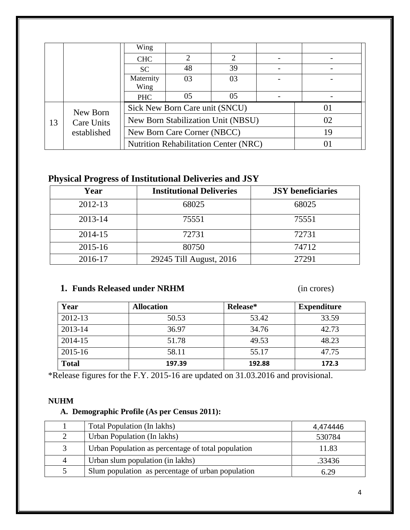|             |            | Wing                        |                                    |                                              |  |    |
|-------------|------------|-----------------------------|------------------------------------|----------------------------------------------|--|----|
|             |            | <b>CHC</b>                  |                                    | 2                                            |  |    |
|             |            | SC                          | 48                                 | 39                                           |  |    |
|             |            | Maternity                   | 03                                 | 03                                           |  |    |
|             |            | Wing                        |                                    |                                              |  |    |
|             |            | <b>PHC</b>                  | 05                                 | 05                                           |  |    |
|             | New Born   |                             | Sick New Born Care unit (SNCU)     |                                              |  | 01 |
| 13          | Care Units |                             | New Born Stabilization Unit (NBSU) |                                              |  | 02 |
| established |            | New Born Care Corner (NBCC) |                                    |                                              |  | 19 |
|             |            |                             |                                    | <b>Nutrition Rehabilitation Center (NRC)</b> |  | 01 |

## **Physical Progress of Institutional Deliveries and JSY**

| Year        | <b>Institutional Deliveries</b> | <b>JSY</b> beneficiaries |
|-------------|---------------------------------|--------------------------|
| 2012-13     | 68025                           | 68025                    |
| 2013-14     | 75551                           | 75551                    |
| 2014-15     | 72731                           | 72731                    |
| $2015 - 16$ | 80750                           | 74712                    |
| 2016-17     | 29245 Till August, 2016         | 27291                    |

#### **1. Funds Released under NRHM** (in crores)

| Year         | <b>Allocation</b> | Release* | <b>Expenditure</b> |
|--------------|-------------------|----------|--------------------|
| 2012-13      | 50.53             | 53.42    | 33.59              |
| 2013-14      | 36.97             | 34.76    | 42.73              |
| 2014-15      | 51.78             | 49.53    | 48.23              |
| 2015-16      | 58.11             | 55.17    | 47.75              |
| <b>Total</b> | 197.39            | 192.88   | 172.3              |

\*Release figures for the F.Y. 2015-16 are updated on 31.03.2016 and provisional.

#### **NUHM**

#### **A. Demographic Profile (As per Census 2011):**

|                | Total Population (In lakhs)                        | 4,474446 |
|----------------|----------------------------------------------------|----------|
| 2              | Urban Population (In lakhs)                        | 530784   |
| 3              | Urban Population as percentage of total population | 11.83    |
| $\overline{A}$ | Urban slum population (in lakhs)                   | .33436   |
|                | Slum population as percentage of urban population  | 6.29     |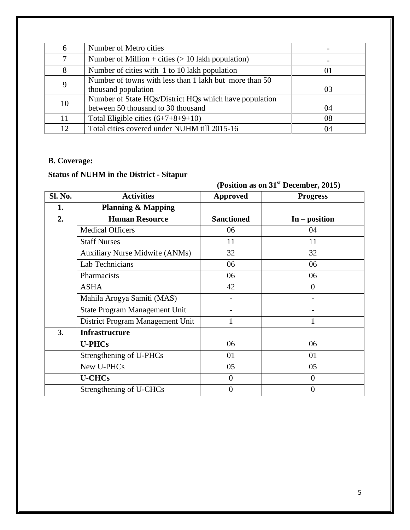| 6  | Number of Metro cities                                 |    |
|----|--------------------------------------------------------|----|
| 7  | Number of Million + cities $(> 10$ lakh population)    |    |
| 8  | Number of cities with 1 to 10 lakh population          | 01 |
|    | Number of towns with less than 1 lakh but more than 50 |    |
| 9  | thousand population                                    | 03 |
| 10 | Number of State HQs/District HQs which have population |    |
|    | between 50 thousand to 30 thousand                     | 04 |
| 11 | Total Eligible cities $(6+7+8+9+10)$                   | 08 |
| 12 | Total cities covered under NUHM till 2015-16           | 04 |

#### **B. Coverage:**

#### **Status of NUHM in the District - Sitapur**

|         |                                       |                   | (Position as on $31st$ December, 2015) |
|---------|---------------------------------------|-------------------|----------------------------------------|
| Sl. No. | <b>Activities</b>                     | <b>Approved</b>   | <b>Progress</b>                        |
| 1.      | <b>Planning &amp; Mapping</b>         |                   |                                        |
| 2.      | <b>Human Resource</b>                 | <b>Sanctioned</b> | $In - position$                        |
|         | <b>Medical Officers</b>               | 06                | 04                                     |
|         | <b>Staff Nurses</b>                   | 11                | 11                                     |
|         | <b>Auxiliary Nurse Midwife (ANMs)</b> | 32                | 32                                     |
|         | Lab Technicians                       | 06                | 06                                     |
|         | Pharmacists                           | 06                | 06                                     |
|         | <b>ASHA</b>                           | 42                | $\overline{0}$                         |
|         | Mahila Arogya Samiti (MAS)            |                   |                                        |
|         | State Program Management Unit         |                   |                                        |
|         | District Program Management Unit      |                   |                                        |
| 3.      | <b>Infrastructure</b>                 |                   |                                        |
|         | <b>U-PHCs</b>                         | 06                | 06                                     |
|         | Strengthening of U-PHCs               | 01                | 01                                     |
|         | New U-PHCs                            | 05                | 05                                     |
|         | <b>U-CHCs</b>                         | $\overline{0}$    | $\overline{0}$                         |
|         | Strengthening of U-CHCs               | $\theta$          | $\theta$                               |